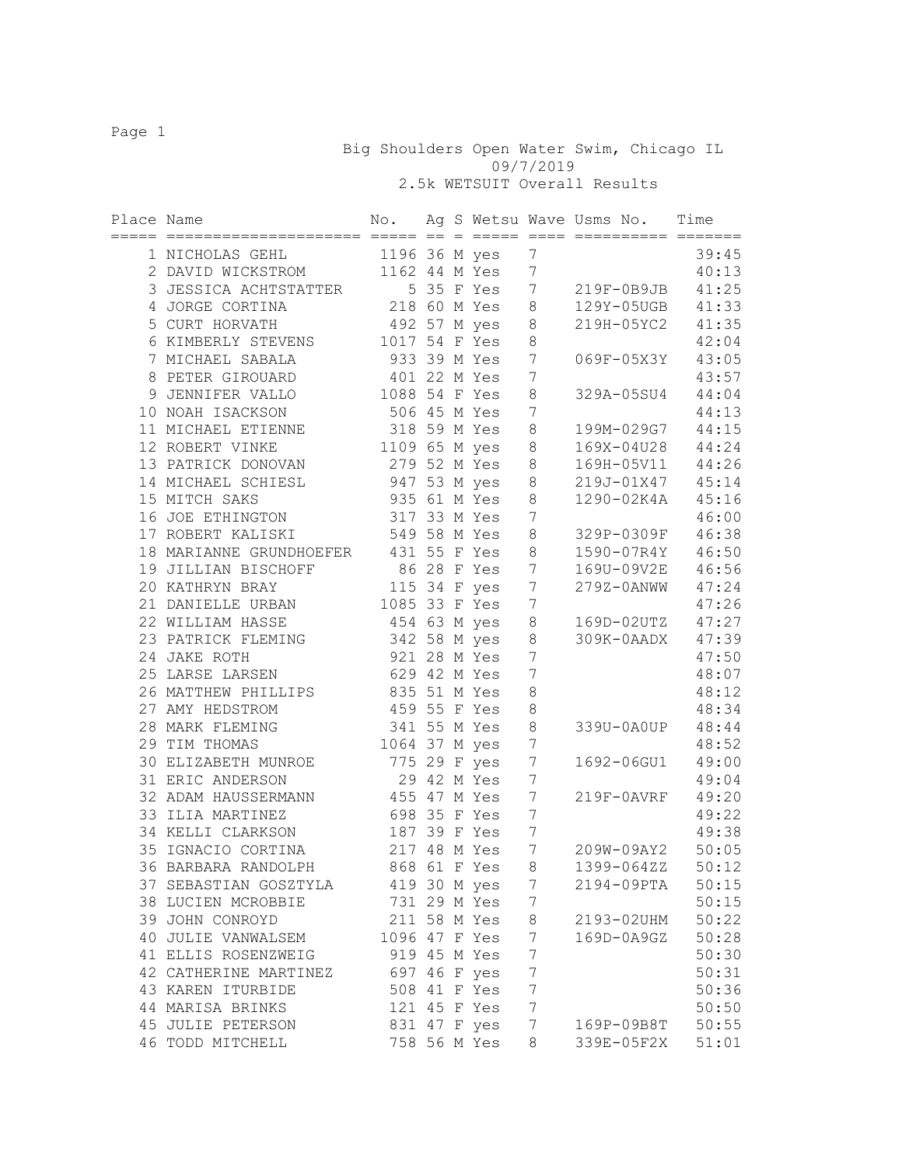Big Shoulders Open Water Swim, Chicago IL 09/7/2019 2.5k WETSUIT Overall Results

| Place Name |                                      | No.           |  |                 |                  | Ag S Wetsu Wave Usms No.<br>================== | Time  |
|------------|--------------------------------------|---------------|--|-----------------|------------------|------------------------------------------------|-------|
|            | 1 NICHOLAS GEHL                      | 1196 36 M yes |  |                 | 7                |                                                | 39:45 |
|            | 2 DAVID WICKSTROM                    |               |  | 1162 44 M Yes   | $7\phantom{.}$   |                                                | 40:13 |
|            | 3 JESSICA ACHTSTATTER                |               |  | 5 35 F Yes      | $7\phantom{.0}$  | 219F-0B9JB                                     | 41:25 |
|            | 4 JORGE CORTINA                      |               |  | 218 60 M Yes 8  |                  | 129Y-05UGB                                     | 41:33 |
|            | 5 CURT HORVATH                       |               |  | 492 57 M yes 8  |                  | 219H-05YC2                                     | 41:35 |
|            | 6 KIMBERLY STEVENS                   | 1017 54 F Yes |  |                 | $\,8\,$          |                                                | 42:04 |
|            | 7 MICHAEL SABALA                     | 933 39 M Yes  |  |                 | $\boldsymbol{7}$ | 069F-05X3Y                                     | 43:05 |
|            | 8 PETER GIROUARD                     | 401 22 M Yes  |  |                 | 7                |                                                | 43:57 |
|            | 9 JENNIFER VALLO                     | 1088 54 F Yes |  |                 | $\,8\,$          | 329A-05SU4                                     | 44:04 |
|            | 10 NOAH ISACKSON                     | 506 45 M Yes  |  |                 | $\overline{7}$   |                                                | 44:13 |
|            | 11 MICHAEL ETIENNE                   | 318 59 M Yes  |  |                 | $\,8\,$          | 199M-029G7                                     | 44:15 |
|            | 12 ROBERT VINKE                      |               |  | 1109 65 M yes 8 |                  | 169X-04U28                                     | 44:24 |
|            | 13 PATRICK DONOVAN                   | 279 52 M Yes  |  |                 | 8                | 169H-05V11                                     | 44:26 |
|            | 14 MICHAEL SCHIESL                   | 947 53 M yes  |  |                 | 8                | 219J-01X47                                     | 45:14 |
|            | 15 MITCH SAKS                        | 935 61 M Yes  |  |                 | $\,8\,$          | 1290-02K4A                                     | 45:16 |
|            | 16 JOE ETHINGTON                     | 317 33 M Yes  |  |                 | $\overline{7}$   |                                                | 46:00 |
|            | 17 ROBERT KALISKI                    | 549 58 M Yes  |  |                 | $\,8\,$          | 329P-0309F                                     | 46:38 |
|            | 18 MARIANNE GRUNDHOEFER 431 55 F Yes |               |  |                 | 8                | 1590-07R4Y 46:50                               |       |
|            | 19 JILLIAN BISCHOFF                  | 86 28 F Yes   |  |                 | $7\phantom{.0}$  | 169U-09V2E 46:56                               |       |
|            | 20 KATHRYN BRAY                      | 115 34 F yes  |  |                 | $7\phantom{.0}$  | 279Z-0ANWW                                     | 47:24 |
|            | 21 DANIELLE URBAN                    | 1085 33 F Yes |  |                 | $\overline{7}$   |                                                | 47:26 |
|            | 22 WILLIAM HASSE                     | 454 63 M yes  |  |                 | $\,8\,$          | 169D-02UTZ                                     | 47:27 |
|            | 23 PATRICK FLEMING                   | 342 58 M yes  |  |                 | 8                | 309K-0AADX                                     | 47:39 |
|            | 24 JAKE ROTH                         | 921 28 M Yes  |  |                 | $\overline{7}$   |                                                | 47:50 |
|            | 25 LARSE LARSEN                      | 629 42 M Yes  |  |                 | $\boldsymbol{7}$ |                                                | 48:07 |
|            | 26 MATTHEW PHILLIPS                  | 835 51 M Yes  |  |                 | $\,8\,$          |                                                | 48:12 |
|            | 27 AMY HEDSTROM                      | 459 55 F Yes  |  |                 | $\,8\,$          |                                                | 48:34 |
|            | 28 MARK FLEMING                      | 341 55 M Yes  |  |                 | $\,8\,$          | 339U-0A0UP                                     | 48:44 |
|            | 29 TIM THOMAS                        | 1064 37 M yes |  |                 | 7                |                                                | 48:52 |
|            | 30 ELIZABETH MUNROE                  | 775 29 F yes  |  |                 | $\overline{7}$   | 1692-06GU1                                     | 49:00 |
|            | 31 ERIC ANDERSON                     | 29 42 M Yes   |  |                 | 7                |                                                | 49:04 |
|            | 32 ADAM HAUSSERMANN                  | 455 47 M Yes  |  |                 | $\overline{7}$   | 219F-0AVRF                                     | 49:20 |
|            | 33 ILIA MARTINEZ                     | 698 35 F Yes  |  |                 | 7                |                                                | 49:22 |
|            | 34 KELLI CLARKSON                    | 187 39 F Yes  |  |                 | $\overline{7}$   |                                                | 49:38 |
|            | 35 IGNACIO CORTINA                   | 217 48 M Yes  |  |                 | 7                | 209W-09AY2                                     | 50:05 |
|            | 36 BARBARA RANDOLPH                  |               |  | 868 61 F Yes    | 8                | 1399-064ZZ                                     | 50:12 |
|            | 37 SEBASTIAN GOSZTYLA                |               |  | 419 30 M yes    | 7                | 2194-09PTA                                     | 50:15 |
|            | 38 LUCIEN MCROBBIE                   |               |  | 731 29 M Yes    | 7                |                                                | 50:15 |
|            | 39 JOHN CONROYD                      |               |  | 211 58 M Yes    | 8                | 2193-02UHM                                     | 50:22 |
|            | 40 JULIE VANWALSEM                   | 1096 47 F Yes |  |                 | 7                | 169D-0A9GZ                                     | 50:28 |
|            | 41 ELLIS ROSENZWEIG                  |               |  | 919 45 M Yes    | 7                |                                                | 50:30 |
|            | 42 CATHERINE MARTINEZ                |               |  | 697 46 F yes    | $\boldsymbol{7}$ |                                                | 50:31 |
|            | 43 KAREN ITURBIDE                    |               |  | 508 41 F Yes    | $\boldsymbol{7}$ |                                                | 50:36 |
|            | 44 MARISA BRINKS                     |               |  | 121 45 F Yes    | $\boldsymbol{7}$ |                                                | 50:50 |
|            | 45 JULIE PETERSON                    |               |  | 831 47 F yes    | 7                | 169P-09B8T                                     | 50:55 |
|            | 46 TODD MITCHELL                     |               |  | 758 56 M Yes    | 8                | 339E-05F2X                                     | 51:01 |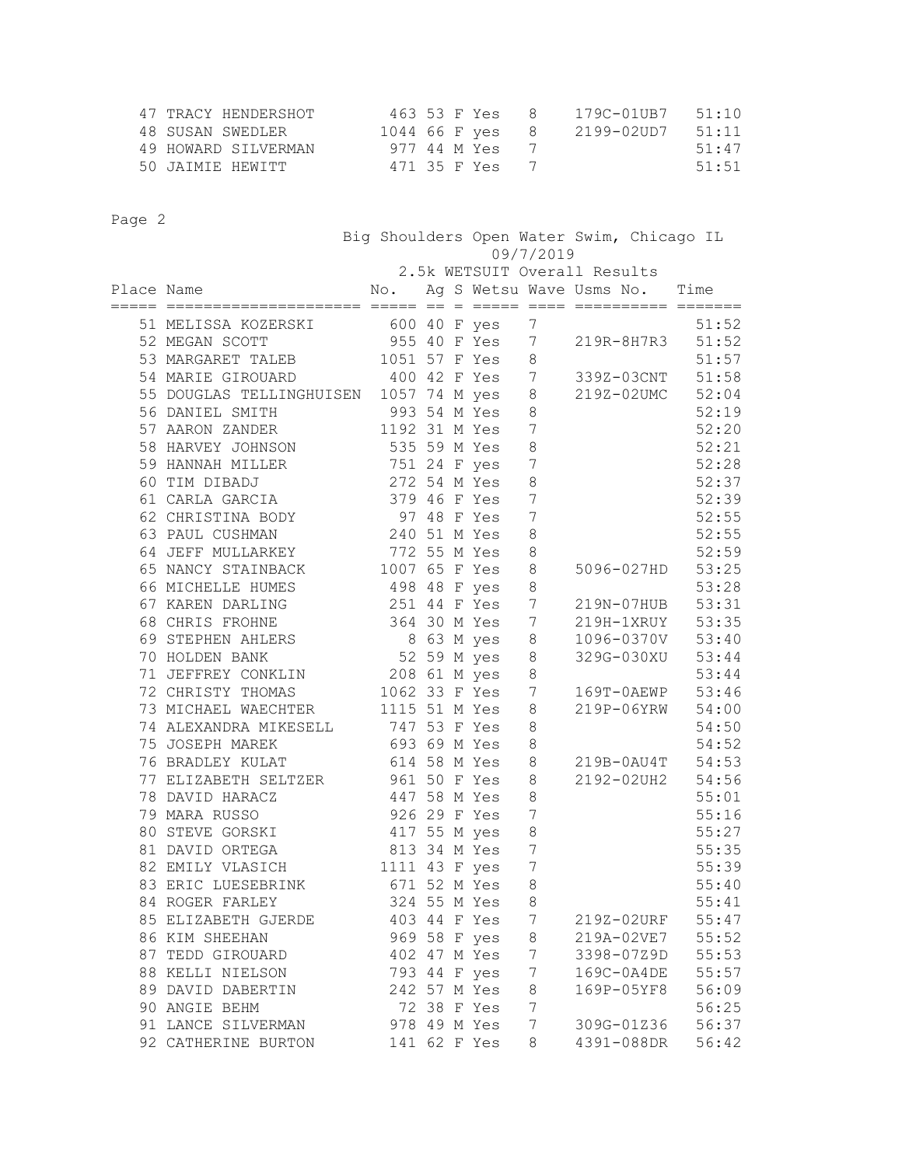| 47 TRACY HENDERSHOT | 463 53 F Yes    | $\mathbb{R}$ | 179C-01UB7 51:10 |       |
|---------------------|-----------------|--------------|------------------|-------|
| 48 SUSAN SWEDLER    | 1044 66 F yes 8 |              | 2199-02UD7       | 51:11 |
| 49 HOWARD SILVERMAN | 977 44 M Yes    |              |                  | 51:47 |
| 50 JAIMIR HEWITT    | 471 35 F Yes    |              |                  | 51:51 |

|            |                                          | Big Shoulders Open Water Swim, Chicago IL<br>09/7/2019 |                              |  |                |                  |                                   |       |  |  |
|------------|------------------------------------------|--------------------------------------------------------|------------------------------|--|----------------|------------------|-----------------------------------|-------|--|--|
|            |                                          |                                                        | 2.5k WETSUIT Overall Results |  |                |                  |                                   |       |  |  |
| Place Name |                                          |                                                        |                              |  |                |                  | No. Ag S Wetsu Wave Usms No. Time |       |  |  |
|            | 51 MELISSA KOZERSKI                      | 600 40 F yes                                           |                              |  |                | 7                |                                   | 51:52 |  |  |
|            | 52 MEGAN SCOTT                           | 955 40 F Yes                                           |                              |  |                | 7                | 219R-8H7R3                        | 51:52 |  |  |
|            | 53 MARGARET TALEB                        |                                                        |                              |  | 1051 57 F Yes  | 8                |                                   | 51:57 |  |  |
|            | 54 MARIE GIROUARD                        |                                                        |                              |  | 400 42 F Yes 7 |                  | 339Z-03CNT                        | 51:58 |  |  |
|            | 55 DOUGLAS TELLINGHUISEN 1057 74 M yes 8 |                                                        |                              |  |                |                  | 219Z-02UMC 52:04                  |       |  |  |
|            | 993 54 M Yes<br>56 DANIEL SMITH          |                                                        |                              |  |                | 8                |                                   | 52:19 |  |  |
|            | 57 AARON ZANDER                          |                                                        |                              |  | 1192 31 M Yes  | 7                |                                   | 52:20 |  |  |
|            | 58 HARVEY JOHNSON                        | 535 59 M Yes                                           |                              |  |                | $\,8\,$          |                                   | 52:21 |  |  |
|            | 59 HANNAH MILLER                         | 751 24 F yes                                           |                              |  |                | $\overline{7}$   |                                   | 52:28 |  |  |
|            | 60 TIM DIBADJ                            | 272 54 M Yes                                           |                              |  |                | $\,8\,$          |                                   | 52:37 |  |  |
|            | 61 CARLA GARCIA                          | 379 46 F Yes                                           |                              |  |                | $\overline{7}$   |                                   | 52:39 |  |  |
|            | 62 CHRISTINA BODY                        |                                                        |                              |  | 97 48 F Yes    | $\boldsymbol{7}$ |                                   | 52:55 |  |  |
|            | 63 PAUL CUSHMAN                          | 240 51 M Yes                                           |                              |  |                | $\,8\,$          |                                   | 52:55 |  |  |
|            | 64 JEFF MULLARKEY                        | 772 55 M Yes                                           |                              |  |                | 8                |                                   | 52:59 |  |  |
|            | 65 NANCY STAINBACK                       | 1007 65 F Yes                                          |                              |  |                | $\,8\,$          | 5096-027HD                        | 53:25 |  |  |
|            | 66 MICHELLE HUMES                        | 498 48 F yes                                           |                              |  |                | $\,8\,$          |                                   | 53:28 |  |  |
|            | 67 KAREN DARLING                         | 251 44 F Yes                                           |                              |  |                | 7                | 219N-07HUB                        | 53:31 |  |  |
|            | 68 CHRIS FROHNE                          | 364 30 M Yes 7                                         |                              |  |                |                  | 219H-1XRUY 53:35                  |       |  |  |
|            | 69 STEPHEN AHLERS                        |                                                        |                              |  | 8 63 M yes 8   |                  | 1096-0370V 53:40                  |       |  |  |
|            | 70 HOLDEN BANK                           | 52 59 M yes                                            |                              |  |                | $\,8\,$          | 329G-030XU 53:44                  |       |  |  |
|            | 71 JEFFREY CONKLIN                       | 208 61 M yes                                           |                              |  |                | 8                |                                   | 53:44 |  |  |
|            | 72 CHRISTY THOMAS                        | 1062 33 F Yes                                          |                              |  |                | 7                | 169T-0AEWP 53:46                  |       |  |  |
|            | 73 MICHAEL WAECHTER                      | 1115 51 M Yes                                          |                              |  |                | 8                | 219P-06YRW 54:00                  |       |  |  |
|            | 74 ALEXANDRA MIKESELL 747 53 F Yes       |                                                        |                              |  |                | $\,8\,$          |                                   | 54:50 |  |  |
|            | 75 JOSEPH MAREK                          | 693 69 M Yes                                           |                              |  |                | $\,8\,$          |                                   | 54:52 |  |  |
|            | 76 BRADLEY KULAT                         | 614 58 M Yes                                           |                              |  |                | 8                | 219B-0AU4T                        | 54:53 |  |  |
|            | 77 ELIZABETH SELTZER 961 50 F Yes        |                                                        |                              |  |                | 8                | 2192-02UH2 54:56                  |       |  |  |
|            | 78 DAVID HARACZ                          | 447 58 M Yes                                           |                              |  |                | 8                |                                   | 55:01 |  |  |
|            | 79 MARA RUSSO                            | 926 29 F Yes                                           |                              |  |                | 7                |                                   | 55:16 |  |  |
|            | 80 STEVE GORSKI                          | 417 55 M yes                                           |                              |  |                | 8                |                                   | 55:27 |  |  |
|            | 81 DAVID ORTEGA                          | 813 34 M Yes                                           |                              |  |                | $\overline{7}$   |                                   | 55:35 |  |  |
|            | 82 EMILY VLASICH                         | 1111 43 F yes                                          |                              |  |                | 7                |                                   | 55:39 |  |  |
|            | 83 ERIC LUESEBRINK                       |                                                        |                              |  | 671 52 M Yes   | 8                |                                   | 55:40 |  |  |
|            | 84 ROGER FARLEY                          |                                                        |                              |  | 324 55 M Yes   | 8                |                                   | 55:41 |  |  |
|            | 85 ELIZABETH GJERDE                      |                                                        |                              |  | 403 44 F Yes   | 7                | 219Z-02URF                        | 55:47 |  |  |
|            | 86 KIM SHEEHAN                           |                                                        |                              |  | 969 58 F yes   | 8                | 219A-02VE7                        | 55:52 |  |  |
|            | 87 TEDD GIROUARD                         |                                                        |                              |  | 402 47 M Yes   | 7                | 3398-07Z9D                        | 55:53 |  |  |
|            | 88 KELLI NIELSON                         |                                                        |                              |  | 793 44 F yes   | 7                | 169C-0A4DE                        | 55:57 |  |  |
|            | 89 DAVID DABERTIN                        |                                                        |                              |  | 242 57 M Yes   | 8                | 169P-05YF8                        | 56:09 |  |  |
|            | 90 ANGIE BEHM                            |                                                        |                              |  | 72 38 F Yes    | 7                |                                   | 56:25 |  |  |
|            | 91 LANCE SILVERMAN                       |                                                        |                              |  | 978 49 M Yes   | 7                | 309G-01Z36                        | 56:37 |  |  |
|            | 92 CATHERINE BURTON                      |                                                        |                              |  | 141 62 F Yes   | 8                | 4391-088DR                        | 56:42 |  |  |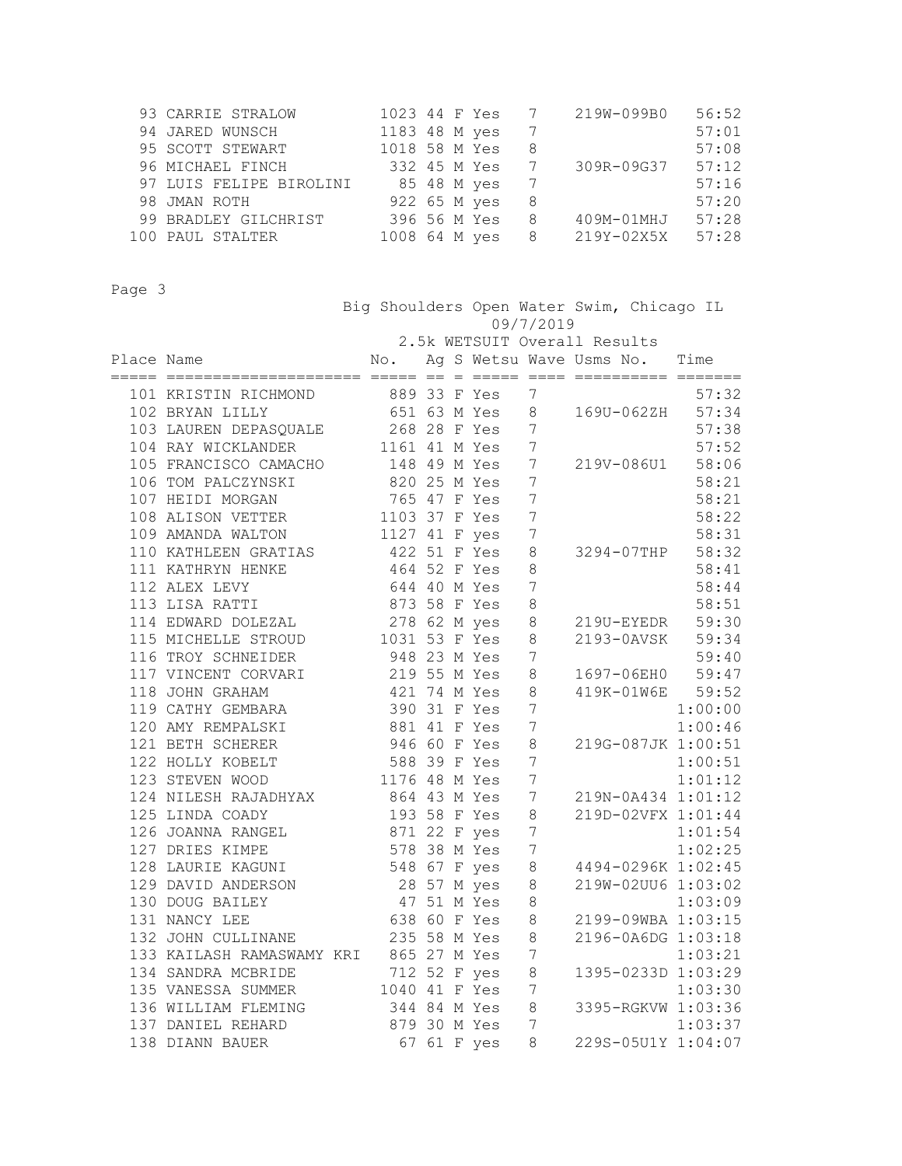| 93 CARRIE STRALOW       |               |              | 1023 44 F Yes 7 |   | 219W-099B0       | 56:52 |
|-------------------------|---------------|--------------|-----------------|---|------------------|-------|
| 94 JARED WUNSCH         | 1183 48 M yes |              |                 | 7 |                  | 57:01 |
| 95 SCOTT STEWART        | 1018 58 M Yes |              |                 | 8 |                  | 57:08 |
| 96 MICHAEL FINCH        |               |              | 332 45 M Yes 7  |   | 309R-09G37 57:12 |       |
| 97 LUIS FELIPE BIROLINI |               | 85 48 M yes  |                 | 7 |                  | 57:16 |
| 98 JMAN ROTH            |               | 922 65 M yes |                 | 8 |                  | 57:20 |
| 99 BRADLEY GILCHRIST    |               | 396 56 M Yes |                 | 8 | 409M-01MHJ       | 57:28 |
| 100 PAUL STALTER        | 1008 64 M yes |              |                 | 8 | 219Y-02X5X       | 57:28 |

 Big Shoulders Open Water Swim, Chicago IL 09/7/2019 2.5k WETSUIT Overall Results

| Place Name |                                                                                                                           |                                                               |  | No. Ag S Wetsu Wave Usms No. Time |                  |  |                                 |
|------------|---------------------------------------------------------------------------------------------------------------------------|---------------------------------------------------------------|--|-----------------------------------|------------------|--|---------------------------------|
|            | 101 KRISTIN RICHMOND 889 33 F Yes                                                                                         |                                                               |  |                                   | 7                |  | 57:32                           |
|            | 102 BRYAN LILLY                                                                                                           |                                                               |  |                                   |                  |  | 651 63 M Yes 8 169U-062ZH 57:34 |
|            | 103 LAUREN DEPASQUALE 268 28 F Yes 7                                                                                      |                                                               |  |                                   |                  |  | 57:38                           |
|            | 104 RAY WICKLANDER 1161 41 M Yes                                                                                          |                                                               |  |                                   | $7\phantom{.0}$  |  | 57:52                           |
|            | 105 FRANCISCO CAMACHO 148 49 M Yes 7                                                                                      |                                                               |  |                                   |                  |  | 219V-086U1 58:06                |
|            | 106 TOM PALCZYNSKI<br>107 HEIDI MORGAN 765 47 F Yes<br>108 ALISON VETTER 1103 37 F Yes<br>109 AMANDA WALTON 1127 41 F yes |                                                               |  | $\overline{7}$                    |                  |  | 58:21                           |
|            |                                                                                                                           |                                                               |  |                                   | $7\phantom{.0}$  |  | 58:21                           |
|            |                                                                                                                           |                                                               |  |                                   | $\overline{7}$   |  | 58:22                           |
|            |                                                                                                                           |                                                               |  |                                   | $\overline{7}$   |  | 58:31                           |
|            | 110 KATHLEEN GRATIAS                                                                                                      | 422 51 F Yes                                                  |  |                                   | 8                |  | 3294-07THP 58:32                |
|            | 111 KATHRYN HENKE                                                                                                         | 464 52 F Yes                                                  |  |                                   | $\,8\,$          |  | 58:41                           |
|            | 112 ALEX LEVY                                                                                                             | 644 40 M Yes                                                  |  |                                   | $7\overline{ }$  |  | 58:44                           |
|            | 113 LISA RATTI                                                                                                            | 873 58 F Yes                                                  |  |                                   | 8                |  | 58:51                           |
|            | 114 EDWARD DOLEZAL                                                                                                        | 278 62 M yes                                                  |  |                                   | $\,8\,$          |  | 219U-EYEDR 59:30                |
|            | 115 MICHELLE STROUD                                                                                                       | 1031 53 F Yes                                                 |  |                                   | $\,8\,$          |  | 2193-0AVSK 59:34                |
|            | 116 TROY SCHNEIDER                                                                                                        | 948 23 M Yes                                                  |  |                                   | $\overline{7}$   |  | 59:40                           |
|            | 117 VINCENT CORVARI                                                                                                       | 310 23 11 105<br>219 55 M Yes                                 |  |                                   | 8                |  | 1697-06EH0 59:47                |
|            | 118 JOHN GRAHAM                                                                                                           | 421 74 M Yes                                                  |  |                                   | 8                |  | 419K-01W6E 59:52                |
|            | 119 CATHY GEMBARA                                                                                                         | 390 31 F Yes                                                  |  |                                   | $\overline{7}$   |  | 1:00:00                         |
|            | 120 AMY REMPALSKI                                                                                                         | 881 41 F Yes                                                  |  |                                   | $7\phantom{.0}$  |  |                                 |
|            | 121 BETH SCHERER                                                                                                          | 946 60 F Yes                                                  |  |                                   | $\,8\,$          |  | 1:00:46<br>219G-087JK 1:00:51   |
|            | 122 HOLLY KOBELT                                                                                                          |                                                               |  |                                   | $7\phantom{.0}$  |  | 1:00:51                         |
|            | 123 STEVEN WOOD                                                                                                           |                                                               |  |                                   | $7\phantom{.0}$  |  | 1:01:12                         |
|            | 124 NILESH RAJADHYAX                                                                                                      |                                                               |  |                                   | $7\phantom{.0}$  |  | 219N-0A434 1:01:12              |
|            | 125 LINDA COADY                                                                                                           | 588 39 F Yes<br>1176 48 M Yes<br>864 43 M Yes<br>193 58 F Yes |  |                                   | 8                |  | 219D-02VFX 1:01:44              |
|            | 126 JOANNA RANGEL                                                                                                         |                                                               |  | 871 22 F yes                      | $7\phantom{.0}$  |  | 1:01:54                         |
|            | 127 DRIES KIMPE                                                                                                           |                                                               |  | 578 38 M Yes 7                    |                  |  | 1:02:25                         |
|            | 128 LAURIE KAGUNI                                                                                                         | 548 67 F yes                                                  |  |                                   | 8                |  | 4494-0296K 1:02:45              |
|            | 129 DAVID ANDERSON                                                                                                        | 28 57 M yes                                                   |  |                                   | 8                |  | 219W-02UU6 1:03:02              |
|            | 130 DOUG BAILEY                                                                                                           | 17 51 M Yes<br>47 51 M Yes<br>638 60 F Yes<br>235 LC          |  |                                   | 8                |  | 1:03:09                         |
|            | 131 NANCY LEE                                                                                                             |                                                               |  |                                   | $\,8\,$          |  | 2199-09WBA 1:03:15              |
|            | 132 JOHN CULLINANE                                                                                                        | 235 58 M Yes                                                  |  |                                   | $\,8\,$          |  | 2196-0A6DG 1:03:18              |
|            | 133 KAILASH RAMASWAMY KRI 865 27 M Yes                                                                                    |                                                               |  |                                   | $\boldsymbol{7}$ |  | 1:03:21                         |
|            | 134 SANDRA MCBRIDE                                                                                                        | 712 52 F yes                                                  |  |                                   | $\,8\,$          |  | 1395-0233D 1:03:29              |
|            | 135 VANESSA SUMMER                                                                                                        | 1040 41 F Yes                                                 |  |                                   | $7\phantom{.0}$  |  | 1:03:30                         |
|            | 136 WILLIAM FLEMING                                                                                                       | 344 84 M Yes                                                  |  |                                   | $\,8\,$          |  | 1.05.50<br>3395-RGKVW 1:03:36   |
|            | 879 30 M Yes 7<br>137 DANIEL REHARD                                                                                       |                                                               |  |                                   |                  |  | 1:03:37                         |
|            | 138 DIANN BAUER                                                                                                           |                                                               |  | 67 61 F yes                       | 8                |  | 229S-05U1Y 1:04:07              |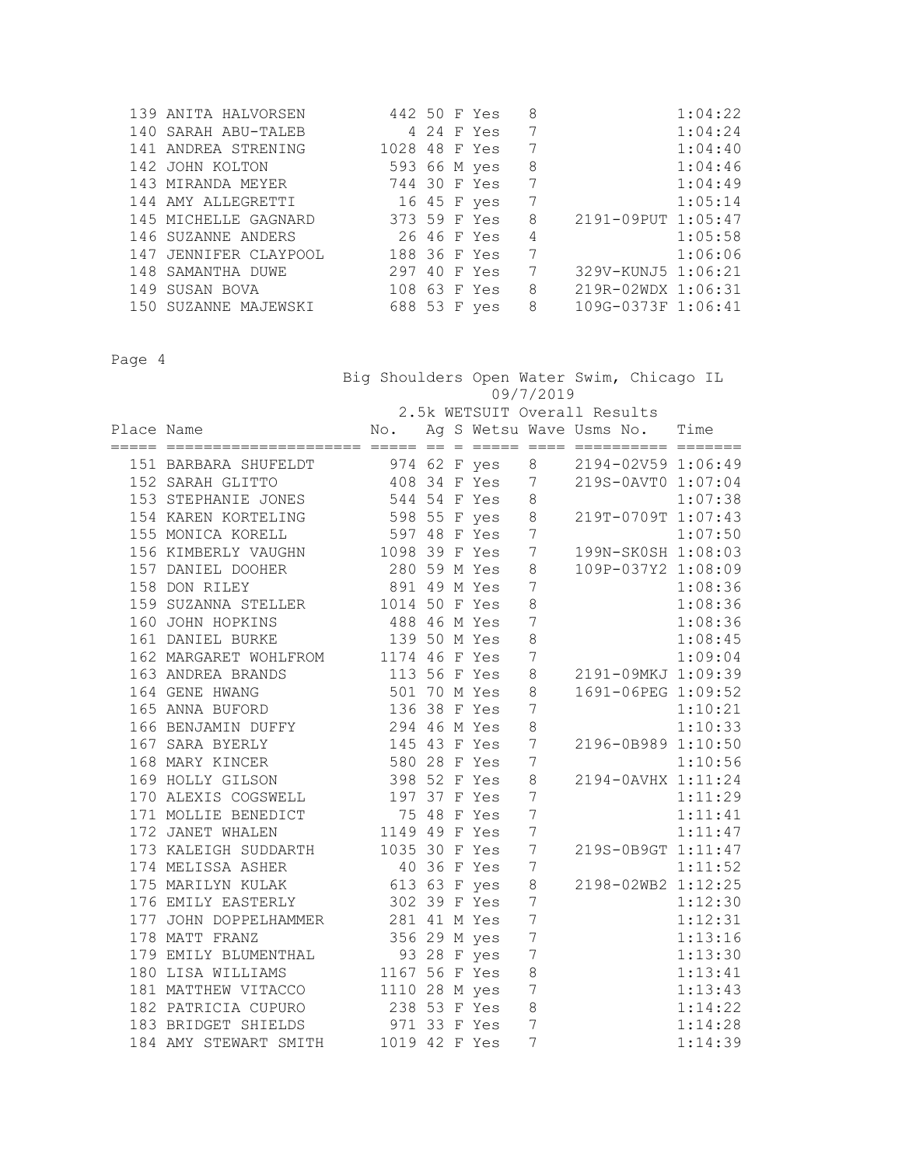| 139 ANITA HALVORSEN   | 442 50 F Yes  |  |              | 8 |                    | 1:04:22 |
|-----------------------|---------------|--|--------------|---|--------------------|---------|
| 140 SARAH ABU-TALEB   |               |  | 4 24 F Yes   | 7 |                    | 1:04:24 |
| 141 ANDREA STRENING   | 1028 48 F Yes |  |              | 7 |                    | 1:04:40 |
| 142 JOHN KOLTON       |               |  | 593 66 M yes | 8 |                    | 1:04:46 |
| 143 MIRANDA MEYER     | 744 30 F Yes  |  |              | 7 |                    | 1:04:49 |
| 144 AMY ALLEGRETTI    |               |  | 16 45 F yes  | 7 |                    | 1:05:14 |
| 145 MICHELLE GAGNARD  |               |  | 373 59 F Yes | 8 | 2191-09PUT 1:05:47 |         |
| 146 SUZANNE ANDERS    | 26 46 F Yes   |  |              | 4 |                    | 1:05:58 |
| 147 JENNIFER CLAYPOOL | 188 36 F Yes  |  |              | 7 |                    | 1:06:06 |
| 148 SAMANTHA DUWE     | 297 40 F Yes  |  |              | 7 | 329V-KUNJ5 1:06:21 |         |
| 149 SUSAN BOVA        | 108 63 F Yes  |  |              | 8 | 219R-02WDX 1:06:31 |         |
| 150 SUZANNE MAJEWSKI  | 688 53 F yes  |  |              | 8 | 109G-0373F 1:06:41 |         |

 Big Shoulders Open Water Swim, Chicago IL 09/7/2019 2.5k WETSUIT Overall Results

| Place Name |                                                                                                                                                                                                                                                      |              |  |                  | No. Ag S Wetsu Wave Usms No. Time |         |
|------------|------------------------------------------------------------------------------------------------------------------------------------------------------------------------------------------------------------------------------------------------------|--------------|--|------------------|-----------------------------------|---------|
|            |                                                                                                                                                                                                                                                      |              |  |                  |                                   |         |
|            | 151 BARBARA SHUFELDT 974 62 F yes 8 2194-02V59 1:06:49                                                                                                                                                                                               |              |  |                  |                                   |         |
|            | 152 SARAH GLITTO 408 34 F Yes 7                                                                                                                                                                                                                      |              |  |                  | 219S-0AVT0 1:07:04                |         |
|            | 153 STEPHANIE JONES 544 54 F Yes                                                                                                                                                                                                                     |              |  | $\,8\,$          |                                   | 1:07:38 |
|            | 154 KAREN KORTELING 598 55 F yes                                                                                                                                                                                                                     |              |  | $\,8\,$          | $219T-0709T$ 1:07:43              |         |
|            | 597 48 F Yes<br>155 MONICA KORELL                                                                                                                                                                                                                    |              |  | 7                |                                   | 1:07:50 |
|            | 156 KIMBERLY VAUGHN 1098 39 F Yes                                                                                                                                                                                                                    |              |  | 7                | $199N-SKOSH$ $1:08:03$            |         |
|            | 157 DANIEL DOOHER 280 59 M Yes                                                                                                                                                                                                                       |              |  | 8                | 109P-037Y2 1:08:09                |         |
|            | 158 DON RILEY                                                                                                                                                                                                                                        | 891 49 M Yes |  | 7                |                                   | 1:08:36 |
|            |                                                                                                                                                                                                                                                      |              |  | 8                |                                   | 1:08:36 |
|            | 159 SUZANNA STELLER<br>160 JOHN HOPKINS<br>160 JOHN HOPKINS<br>161 DANIEL BURKE<br>161 DANIEL BURKE<br>171 171 160 M Yes                                                                                                                             |              |  | $\overline{7}$   |                                   | 1:08:36 |
|            |                                                                                                                                                                                                                                                      |              |  | 8                |                                   | 1:08:45 |
|            | 162 MARGARET WOHLFROM 1174 46 F Yes                                                                                                                                                                                                                  |              |  | $\overline{7}$   |                                   | 1:09:04 |
|            | 113 56 F Yes<br>501 70 M Yes<br>163 ANDREA BRANDS                                                                                                                                                                                                    |              |  | 8                | 2191-09MKJ 1:09:39                |         |
|            | 164 GENE HWANG                                                                                                                                                                                                                                       |              |  | 8                | 1691-06PEG 1:09:52                |         |
|            | 165 ANNA BUFORD                                                                                                                                                                                                                                      | 136 38 F Yes |  | $\overline{7}$   |                                   | 1:10:21 |
|            | 166 BENJAMIN DUFFY 294 46 M Yes                                                                                                                                                                                                                      |              |  | 8                |                                   | 1:10:33 |
|            | 167 SARA BYERLY 145 43 F Yes                                                                                                                                                                                                                         |              |  | $7\phantom{.0}$  | 2196-0B989 1:10:50                |         |
|            | 168 MARY KINCER                                                                                                                                                                                                                                      | 580 28 F Yes |  | $7\phantom{.0}$  |                                   | 1:10:56 |
|            | 169 HOLLY GILSON                                                                                                                                                                                                                                     | 398 52 F Yes |  | 8                | 2194-0AVHX 1:11:24                |         |
|            | 170 ALEXIS COGSWELL                                                                                                                                                                                                                                  | 197 37 F Yes |  | $\overline{7}$   |                                   | 1:11:29 |
|            |                                                                                                                                                                                                                                                      |              |  | $\overline{7}$   |                                   | 1:11:41 |
|            |                                                                                                                                                                                                                                                      |              |  | $\boldsymbol{7}$ |                                   | 1:11:47 |
|            | 171 MOLLIE BENEDICT<br>171 MOLLIE BENEDICT<br>172 JANET WHALEN<br>1149 49 F Yes<br>173 KALEIGH SUDDARTH<br>1035 30 F Yes<br>174 MELISSA ASHER<br>175 MARILYN KULAK<br>175 MARILYN KULAK<br>175 MARILYN KULAK<br>175 MARILYN KULAK<br>175 MARILYN KUL |              |  | $\overline{7}$   | 219S-0B9GT 1:11:47                |         |
|            |                                                                                                                                                                                                                                                      |              |  | $\overline{7}$   |                                   | 1:11:52 |
|            |                                                                                                                                                                                                                                                      |              |  | 8                | 2198-02WB2 1:12:25                |         |
|            | 176 EMILY EASTERLY 302 39 F Yes                                                                                                                                                                                                                      |              |  | 7                |                                   | 1:12:30 |
|            | 177 JOHN DOPPELHAMMER 281 41 M Yes                                                                                                                                                                                                                   |              |  | $\overline{7}$   |                                   | 1:12:31 |
|            | 178 MATT FRANZ                                                                                                                                                                                                                                       | 356 29 M yes |  | $\overline{7}$   |                                   | 1:13:16 |
|            |                                                                                                                                                                                                                                                      |              |  | 7                |                                   | 1:13:30 |
|            |                                                                                                                                                                                                                                                      |              |  | 8                |                                   | 1:13:41 |
|            | 181 MATTHEW VITACCO 1110 28 M yes 7                                                                                                                                                                                                                  |              |  |                  |                                   | 1:13:43 |
|            | 182 PATRICIA CUPURO 238 53 F Yes                                                                                                                                                                                                                     |              |  | 8                |                                   | 1:14:22 |
|            | 183 BRIDGET SHIELDS<br>184 AMY STEWART SMITH 1019 42 F Yes                                                                                                                                                                                           |              |  | $\overline{7}$   |                                   | 1:14:28 |
|            |                                                                                                                                                                                                                                                      |              |  | $\overline{7}$   |                                   | 1:14:39 |